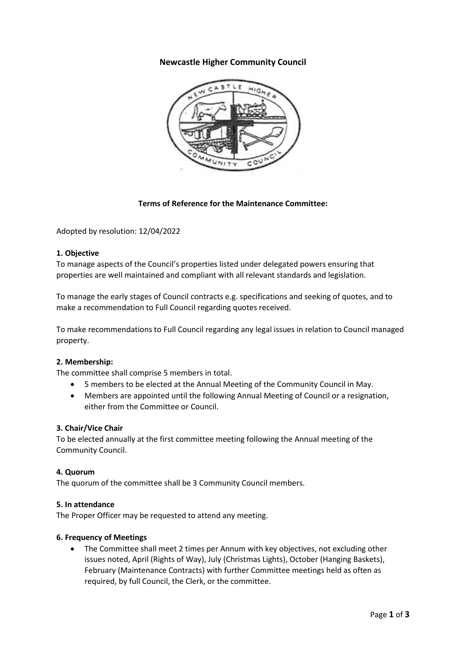# **Newcastle Higher Community Council**



## **Terms of Reference for the Maintenance Committee:**

Adopted by resolution: 12/04/2022

### **1. Objective**

To manage aspects of the Council's properties listed under delegated powers ensuring that properties are well maintained and compliant with all relevant standards and legislation.

To manage the early stages of Council contracts e.g. specifications and seeking of quotes, and to make a recommendation to Full Council regarding quotes received.

To make recommendations to Full Council regarding any legal issues in relation to Council managed property.

### **2. Membership:**

The committee shall comprise 5 members in total.

- 5 members to be elected at the Annual Meeting of the Community Council in May.
- Members are appointed until the following Annual Meeting of Council or a resignation, either from the Committee or Council.

#### **3. Chair/Vice Chair**

To be elected annually at the first committee meeting following the Annual meeting of the Community Council.

### **4. Quorum**

The quorum of the committee shall be 3 Community Council members.

#### **5. In attendance**

The Proper Officer may be requested to attend any meeting.

#### **6. Frequency of Meetings**

• The Committee shall meet 2 times per Annum with key objectives, not excluding other issues noted, April (Rights of Way), July (Christmas Lights), October (Hanging Baskets), February (Maintenance Contracts) with further Committee meetings held as often as required, by full Council, the Clerk, or the committee.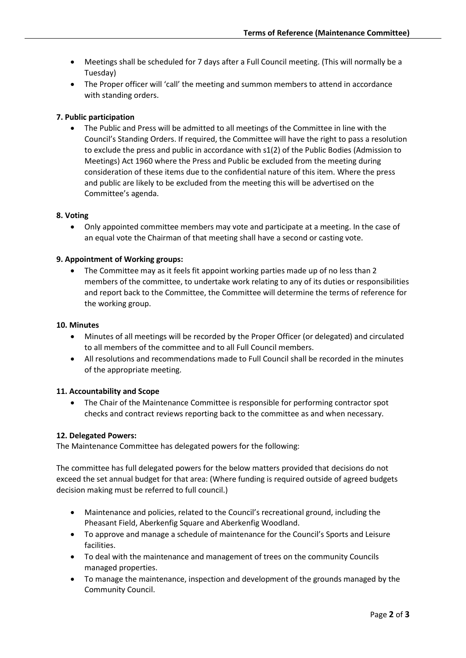- Meetings shall be scheduled for 7 days after a Full Council meeting. (This will normally be a Tuesday)
- The Proper officer will 'call' the meeting and summon members to attend in accordance with standing orders.

# **7. Public participation**

• The Public and Press will be admitted to all meetings of the Committee in line with the Council's Standing Orders. If required, the Committee will have the right to pass a resolution to exclude the press and public in accordance with s1(2) of the Public Bodies (Admission to Meetings) Act 1960 where the Press and Public be excluded from the meeting during consideration of these items due to the confidential nature of this item. Where the press and public are likely to be excluded from the meeting this will be advertised on the Committee's agenda.

### **8. Voting**

• Only appointed committee members may vote and participate at a meeting. In the case of an equal vote the Chairman of that meeting shall have a second or casting vote.

### **9. Appointment of Working groups:**

The Committee may as it feels fit appoint working parties made up of no less than 2 members of the committee, to undertake work relating to any of its duties or responsibilities and report back to the Committee, the Committee will determine the terms of reference for the working group.

#### **10. Minutes**

- Minutes of all meetings will be recorded by the Proper Officer (or delegated) and circulated to all members of the committee and to all Full Council members.
- All resolutions and recommendations made to Full Council shall be recorded in the minutes of the appropriate meeting.

### **11. Accountability and Scope**

• The Chair of the Maintenance Committee is responsible for performing contractor spot checks and contract reviews reporting back to the committee as and when necessary.

#### **12. Delegated Powers:**

The Maintenance Committee has delegated powers for the following:

The committee has full delegated powers for the below matters provided that decisions do not exceed the set annual budget for that area: (Where funding is required outside of agreed budgets decision making must be referred to full council.)

- Maintenance and policies, related to the Council's recreational ground, including the Pheasant Field, Aberkenfig Square and Aberkenfig Woodland.
- To approve and manage a schedule of maintenance for the Council's Sports and Leisure facilities.
- To deal with the maintenance and management of trees on the community Councils managed properties.
- To manage the maintenance, inspection and development of the grounds managed by the Community Council.